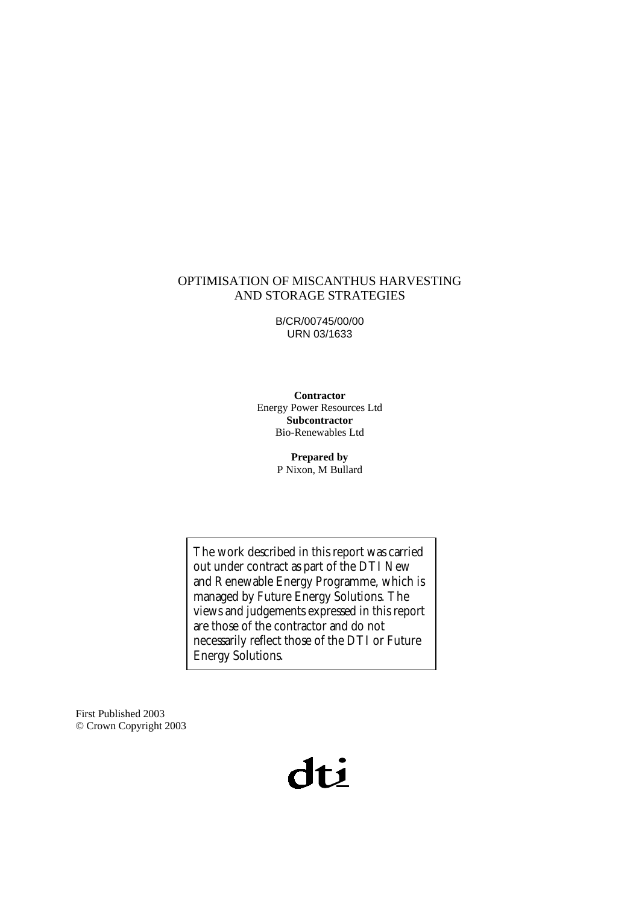#### OPTIMISATION OF MISCANTHUS HARVESTING AND STORAGE STRATEGIES

B/CR/00745/00/00 URN 03/1633

**Contractor**  Energy Power Resources Ltd **Subcontractor**  Bio-Renewables Ltd

> **Prepared by** P Nixon, M Bullard

The work described in this report was carried out under contract as part of the DTI New and Renewable Energy Programme, which is managed by Future Energy Solutions. The views and judgements expressed in this report are those of the contractor and do not necessarily reflect those of the DTI or Future Energy Solutions.

First Published 2003 © Crown Copyright 2003

# dti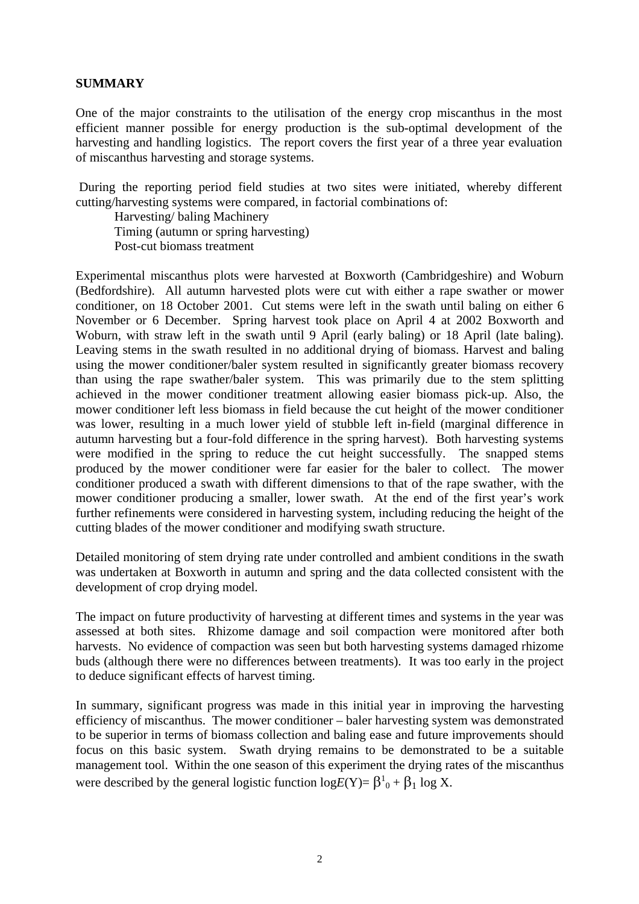#### **SUMMARY**

One of the major constraints to the utilisation of the energy crop miscanthus in the most efficient manner possible for energy production is the sub-optimal development of the harvesting and handling logistics. The report covers the first year of a three year evaluation of miscanthus harvesting and storage systems.

 During the reporting period field studies at two sites were initiated, whereby different cutting/harvesting systems were compared, in factorial combinations of:

 Harvesting/ baling Machinery Timing (autumn or spring harvesting) Post-cut biomass treatment

Experimental miscanthus plots were harvested at Boxworth (Cambridgeshire) and Woburn (Bedfordshire). All autumn harvested plots were cut with either a rape swather or mower conditioner, on 18 October 2001. Cut stems were left in the swath until baling on either 6 November or 6 December. Spring harvest took place on April 4 at 2002 Boxworth and Woburn, with straw left in the swath until 9 April (early baling) or 18 April (late baling). Leaving stems in the swath resulted in no additional drying of biomass. Harvest and baling using the mower conditioner/baler system resulted in significantly greater biomass recovery than using the rape swather/baler system. This was primarily due to the stem splitting achieved in the mower conditioner treatment allowing easier biomass pick-up. Also, the mower conditioner left less biomass in field because the cut height of the mower conditioner was lower, resulting in a much lower yield of stubble left in-field (marginal difference in autumn harvesting but a four-fold difference in the spring harvest). Both harvesting systems were modified in the spring to reduce the cut height successfully. The snapped stems produced by the mower conditioner were far easier for the baler to collect. The mower conditioner produced a swath with different dimensions to that of the rape swather, with the mower conditioner producing a smaller, lower swath. At the end of the first year's work further refinements were considered in harvesting system, including reducing the height of the cutting blades of the mower conditioner and modifying swath structure.

Detailed monitoring of stem drying rate under controlled and ambient conditions in the swath was undertaken at Boxworth in autumn and spring and the data collected consistent with the development of crop drying model.

The impact on future productivity of harvesting at different times and systems in the year was assessed at both sites. Rhizome damage and soil compaction were monitored after both harvests. No evidence of compaction was seen but both harvesting systems damaged rhizome buds (although there were no differences between treatments). It was too early in the project to deduce significant effects of harvest timing.

In summary, significant progress was made in this initial year in improving the harvesting efficiency of miscanthus. The mower conditioner – baler harvesting system was demonstrated to be superior in terms of biomass collection and baling ease and future improvements should focus on this basic system. Swath drying remains to be demonstrated to be a suitable management tool. Within the one season of this experiment the drying rates of the miscanthus were described by the general logistic function  $log E(Y) = \beta^1{}_0 + \beta^1{}_1$  log X.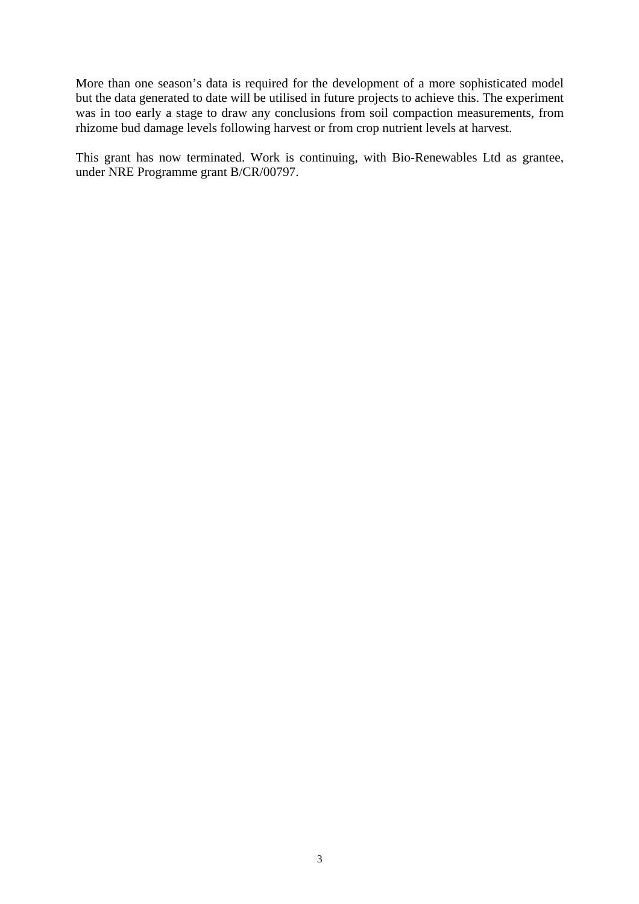More than one season's data is required for the development of a more sophisticated model but the data generated to date will be utilised in future projects to achieve this. The experiment was in too early a stage to draw any conclusions from soil compaction measurements, from rhizome bud damage levels following harvest or from crop nutrient levels at harvest.

This grant has now terminated. Work is continuing, with Bio-Renewables Ltd as grantee, under NRE Programme grant B/CR/00797.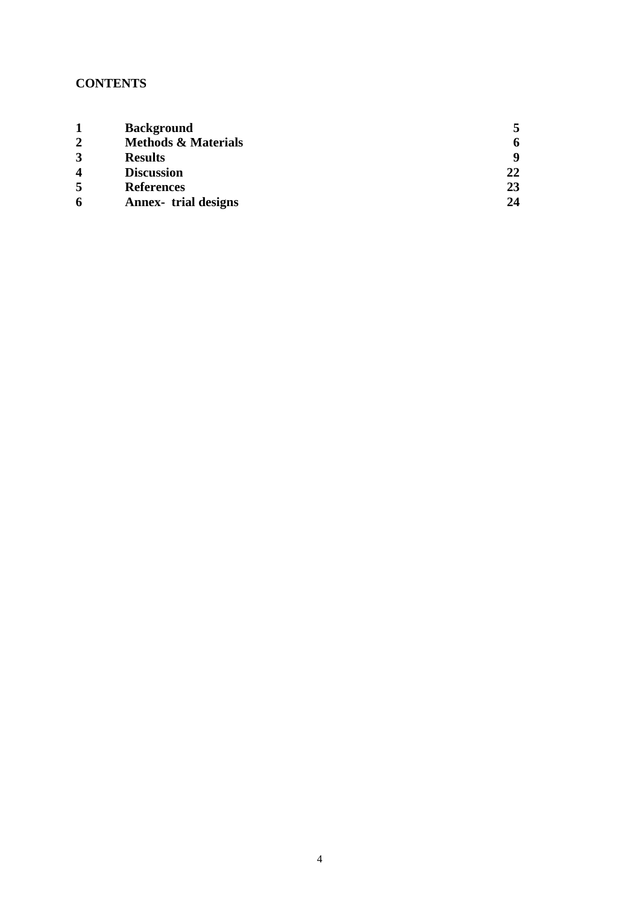## **CONTENTS**

|                         | <b>Background</b>              |    |
|-------------------------|--------------------------------|----|
| $\overline{2}$          | <b>Methods &amp; Materials</b> |    |
| 3                       | <b>Results</b>                 | Q  |
| $\overline{\mathbf{4}}$ | <b>Discussion</b>              | 22 |
| 5                       | <b>References</b>              | 23 |
| 6                       | <b>Annex-</b> trial designs    | 24 |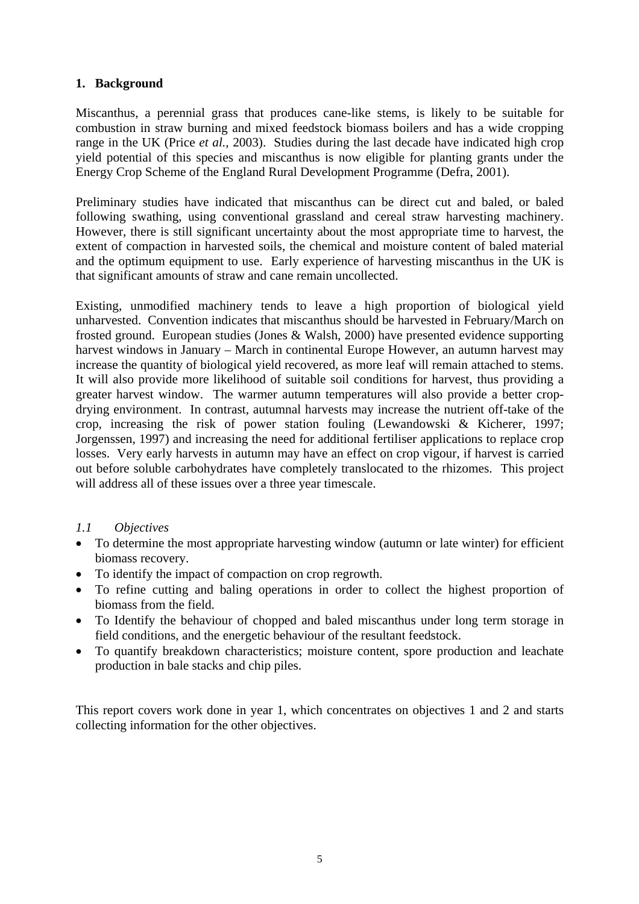## **1. Background**

Miscanthus, a perennial grass that produces cane-like stems, is likely to be suitable for combustion in straw burning and mixed feedstock biomass boilers and has a wide cropping range in the UK (Price *et al.,* 2003). Studies during the last decade have indicated high crop yield potential of this species and miscanthus is now eligible for planting grants under the Energy Crop Scheme of the England Rural Development Programme (Defra, 2001).

Preliminary studies have indicated that miscanthus can be direct cut and baled, or baled following swathing, using conventional grassland and cereal straw harvesting machinery. However, there is still significant uncertainty about the most appropriate time to harvest, the extent of compaction in harvested soils, the chemical and moisture content of baled material and the optimum equipment to use. Early experience of harvesting miscanthus in the UK is that significant amounts of straw and cane remain uncollected.

Existing, unmodified machinery tends to leave a high proportion of biological yield unharvested. Convention indicates that miscanthus should be harvested in February/March on frosted ground. European studies (Jones & Walsh, 2000) have presented evidence supporting harvest windows in January – March in continental Europe However, an autumn harvest may increase the quantity of biological yield recovered, as more leaf will remain attached to stems. It will also provide more likelihood of suitable soil conditions for harvest, thus providing a greater harvest window. The warmer autumn temperatures will also provide a better cropdrying environment. In contrast, autumnal harvests may increase the nutrient off-take of the crop, increasing the risk of power station fouling (Lewandowski & Kicherer, 1997; Jorgenssen, 1997) and increasing the need for additional fertiliser applications to replace crop losses. Very early harvests in autumn may have an effect on crop vigour, if harvest is carried out before soluble carbohydrates have completely translocated to the rhizomes. This project will address all of these issues over a three year timescale.

## *1.1 Objectives*

- To determine the most appropriate harvesting window (autumn or late winter) for efficient biomass recovery.
- To identify the impact of compaction on crop regrowth.
- To refine cutting and baling operations in order to collect the highest proportion of biomass from the field.
- To Identify the behaviour of chopped and baled miscanthus under long term storage in field conditions, and the energetic behaviour of the resultant feedstock.
- To quantify breakdown characteristics; moisture content, spore production and leachate production in bale stacks and chip piles.

This report covers work done in year 1, which concentrates on objectives 1 and 2 and starts collecting information for the other objectives.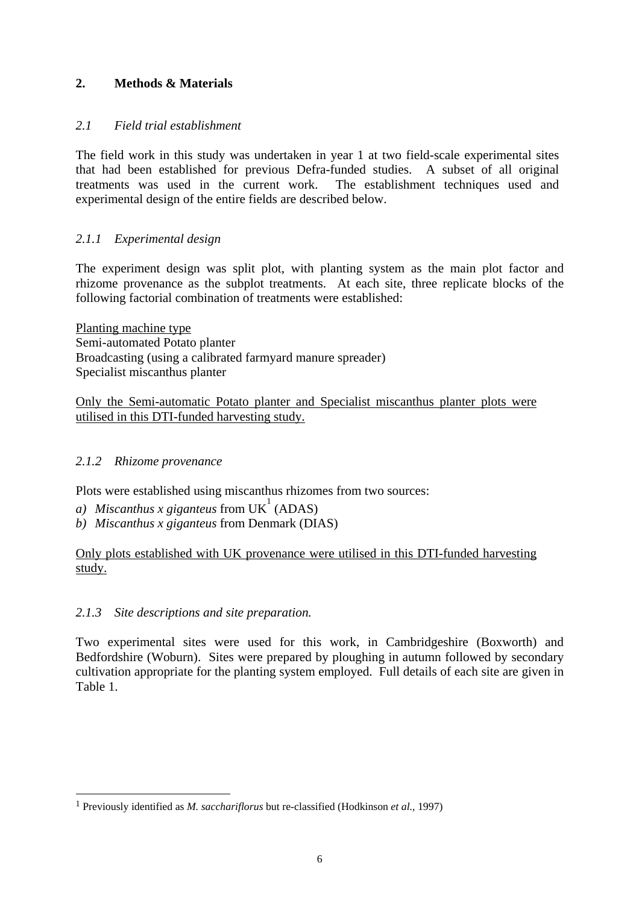## **2. Methods & Materials**

## *2.1 Field trial establishment*

The field work in this study was undertaken in year 1 at two field-scale experimental sites that had been established for previous Defra-funded studies. A subset of all original treatments was used in the current work. The establishment techniques used and experimental design of the entire fields are described below.

## *2.1.1 Experimental design*

The experiment design was split plot, with planting system as the main plot factor and rhizome provenance as the subplot treatments. At each site, three replicate blocks of the following factorial combination of treatments were established:

Planting machine type Semi-automated Potato planter Broadcasting (using a calibrated farmyard manure spreader) Specialist miscanthus planter

Only the Semi-automatic Potato planter and Specialist miscanthus planter plots were utilised in this DTI-funded harvesting study.

## *2.1.2 Rhizome provenance*

 $\overline{a}$ 

Plots were established using miscanthus rhizomes from two sources:

- *a) Miscanthus x giganteus* from UK 1 (ADAS)
- *b) Miscanthus x giganteus* from Denmark (DIAS)

Only plots established with UK provenance were utilised in this DTI-funded harvesting study.

## *2.1.3 Site descriptions and site preparation.*

Two experimental sites were used for this work, in Cambridgeshire (Boxworth) and Bedfordshire (Woburn). Sites were prepared by ploughing in autumn followed by secondary cultivation appropriate for the planting system employed. Full details of each site are given in Table 1.

<sup>1</sup> Previously identified as *M. sacchariflorus* but re-classified (Hodkinson *et al.,* 1997)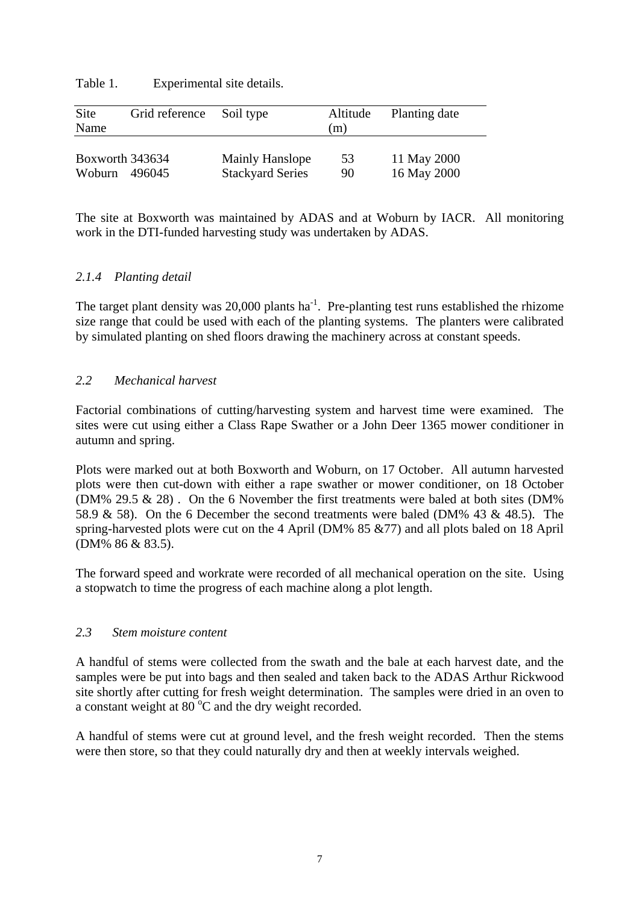Table 1. Experimental site details.

| Site<br>Name    | Grid reference | Soil type               | Altitude<br>(m) | Planting date |
|-----------------|----------------|-------------------------|-----------------|---------------|
| Boxworth 343634 |                | Mainly Hanslope         | 53              | 11 May 2000   |
| Woburn 496045   |                | <b>Stackyard Series</b> | 90              | 16 May 2000   |

The site at Boxworth was maintained by ADAS and at Woburn by IACR. All monitoring work in the DTI-funded harvesting study was undertaken by ADAS.

## *2.1.4 Planting detail*

The target plant density was  $20,000$  plants ha<sup>-1</sup>. Pre-planting test runs established the rhizome size range that could be used with each of the planting systems. The planters were calibrated by simulated planting on shed floors drawing the machinery across at constant speeds.

#### *2.2 Mechanical harvest*

Factorial combinations of cutting/harvesting system and harvest time were examined. The sites were cut using either a Class Rape Swather or a John Deer 1365 mower conditioner in autumn and spring.

Plots were marked out at both Boxworth and Woburn, on 17 October. All autumn harvested plots were then cut-down with either a rape swather or mower conditioner, on 18 October (DM% 29.5 & 28) . On the 6 November the first treatments were baled at both sites (DM% 58.9 & 58). On the 6 December the second treatments were baled (DM% 43 & 48.5). The spring-harvested plots were cut on the 4 April (DM% 85 &77) and all plots baled on 18 April (DM% 86 & 83.5).

The forward speed and workrate were recorded of all mechanical operation on the site. Using a stopwatch to time the progress of each machine along a plot length.

#### *2.3 Stem moisture content*

 A handful of stems were collected from the swath and the bale at each harvest date, and the samples were be put into bags and then sealed and taken back to the ADAS Arthur Rickwood site shortly after cutting for fresh weight determination. The samples were dried in an oven to a constant weight at  $80^{\circ}$ C and the dry weight recorded.

A handful of stems were cut at ground level, and the fresh weight recorded. Then the stems were then store, so that they could naturally dry and then at weekly intervals weighed.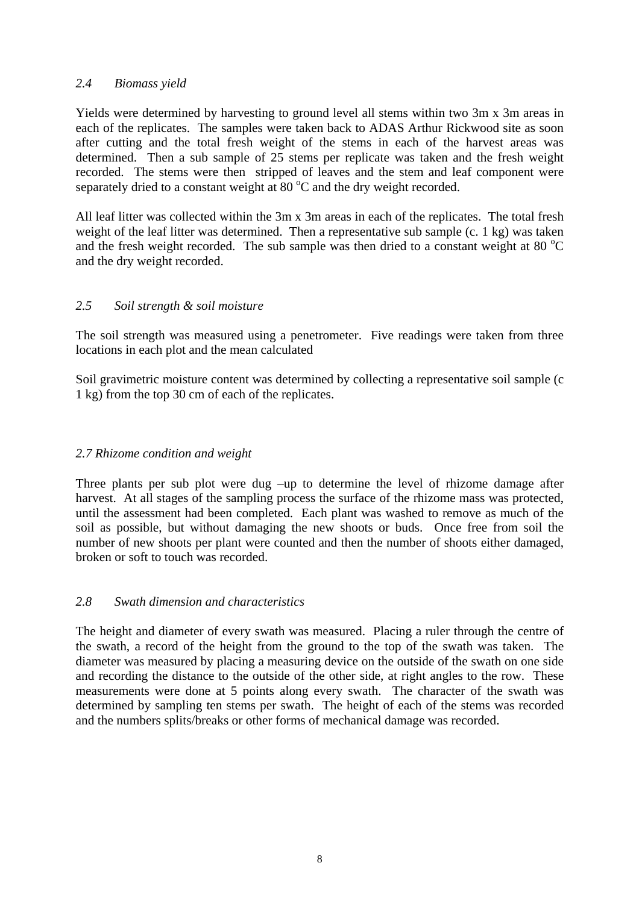#### *2.4 Biomass yield*

Yields were determined by harvesting to ground level all stems within two 3m x 3m areas in each of the replicates. The samples were taken back to ADAS Arthur Rickwood site as soon after cutting and the total fresh weight of the stems in each of the harvest areas was determined. Then a sub sample of 25 stems per replicate was taken and the fresh weight recorded. The stems were then stripped of leaves and the stem and leaf component were separately dried to a constant weight at  $80^{\circ}$ C and the dry weight recorded.

All leaf litter was collected within the 3m x 3m areas in each of the replicates. The total fresh weight of the leaf litter was determined. Then a representative sub sample (c. 1 kg) was taken and the fresh weight recorded. The sub sample was then dried to a constant weight at 80  $^{\circ}$ C and the dry weight recorded.

## *2.5 Soil strength & soil moisture*

The soil strength was measured using a penetrometer. Five readings were taken from three locations in each plot and the mean calculated

Soil gravimetric moisture content was determined by collecting a representative soil sample (c 1 kg) from the top 30 cm of each of the replicates.

#### *2.7 Rhizome condition and weight*

Three plants per sub plot were dug –up to determine the level of rhizome damage after harvest. At all stages of the sampling process the surface of the rhizome mass was protected, until the assessment had been completed. Each plant was washed to remove as much of the soil as possible, but without damaging the new shoots or buds. Once free from soil the number of new shoots per plant were counted and then the number of shoots either damaged, broken or soft to touch was recorded.

#### *2.8 Swath dimension and characteristics*

The height and diameter of every swath was measured. Placing a ruler through the centre of the swath, a record of the height from the ground to the top of the swath was taken. The diameter was measured by placing a measuring device on the outside of the swath on one side and recording the distance to the outside of the other side, at right angles to the row. These measurements were done at 5 points along every swath. The character of the swath was determined by sampling ten stems per swath. The height of each of the stems was recorded and the numbers splits/breaks or other forms of mechanical damage was recorded.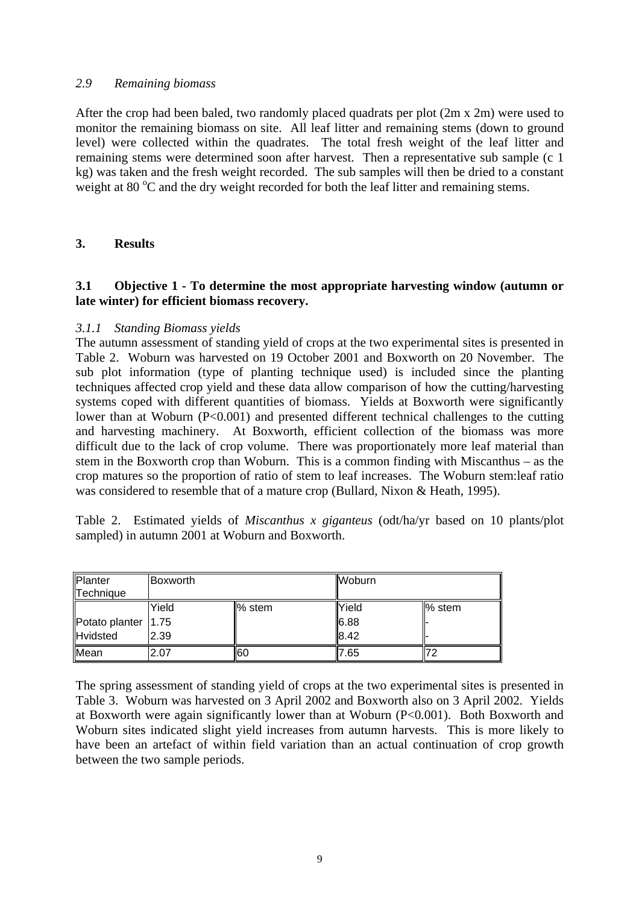#### *2.9 Remaining biomass*

After the crop had been baled, two randomly placed quadrats per plot (2m x 2m) were used to monitor the remaining biomass on site. All leaf litter and remaining stems (down to ground level) were collected within the quadrates. The total fresh weight of the leaf litter and remaining stems were determined soon after harvest. Then a representative sub sample (c 1 kg) was taken and the fresh weight recorded. The sub samples will then be dried to a constant weight at 80 °C and the dry weight recorded for both the leaf litter and remaining stems.

## **3. Results**

## **3.1 Objective 1 - To determine the most appropriate harvesting window (autumn or late winter) for efficient biomass recovery.**

#### *3.1.1 Standing Biomass yields*

The autumn assessment of standing yield of crops at the two experimental sites is presented in Table 2. Woburn was harvested on 19 October 2001 and Boxworth on 20 November. The sub plot information (type of planting technique used) is included since the planting techniques affected crop yield and these data allow comparison of how the cutting/harvesting systems coped with different quantities of biomass. Yields at Boxworth were significantly lower than at Woburn (P<0.001) and presented different technical challenges to the cutting and harvesting machinery. At Boxworth, efficient collection of the biomass was more difficult due to the lack of crop volume. There was proportionately more leaf material than stem in the Boxworth crop than Woburn. This is a common finding with Miscanthus – as the crop matures so the proportion of ratio of stem to leaf increases. The Woburn stem:leaf ratio was considered to resemble that of a mature crop (Bullard, Nixon & Heath, 1995).

Table 2. Estimated yields of *Miscanthus x giganteus* (odt/ha/yr based on 10 plants/plot sampled) in autumn 2001 at Woburn and Boxworth.

| Planter<br>Technique  | <b>Boxworth</b> |                     | <b>Woburn</b> |           |
|-----------------------|-----------------|---------------------|---------------|-----------|
|                       | Yield           | $\mathbb{I}\%$ stem | Yield         | $\%$ stem |
| Potato planter   1.75 |                 |                     | 6.88          |           |
| Hvidsted              | 2.39            |                     | 8.42          |           |
| Mean                  | 2.07            | <b>60</b>           | 7.65          |           |

The spring assessment of standing yield of crops at the two experimental sites is presented in Table 3. Woburn was harvested on 3 April 2002 and Boxworth also on 3 April 2002. Yields at Boxworth were again significantly lower than at Woburn (P<0.001). Both Boxworth and Woburn sites indicated slight yield increases from autumn harvests. This is more likely to have been an artefact of within field variation than an actual continuation of crop growth between the two sample periods.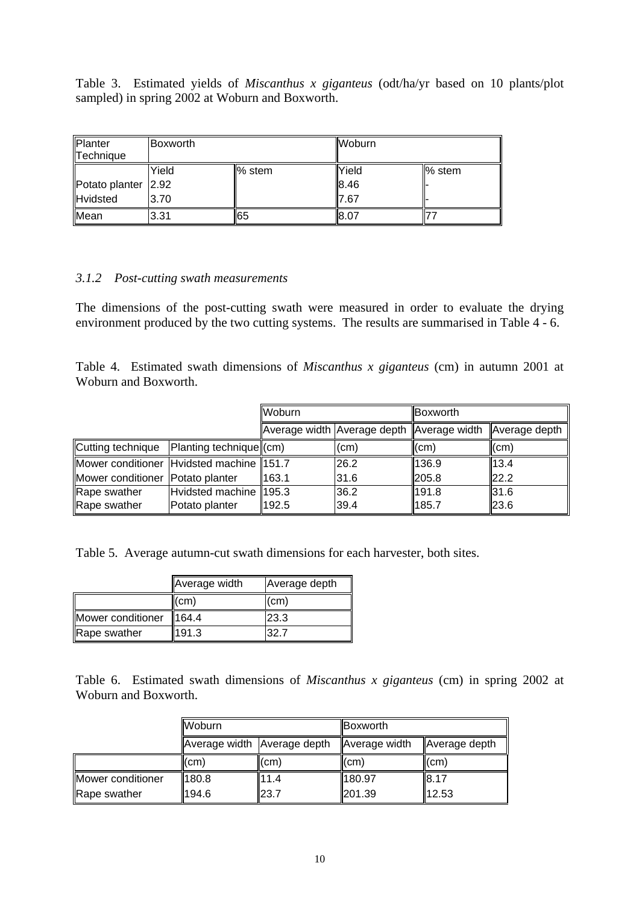Table 3. Estimated yields of *Miscanthus x giganteus* (odt/ha/yr based on 10 plants/plot sampled) in spring 2002 at Woburn and Boxworth.

| Planter             | <b>Boxworth</b> |        | Woburn |        |
|---------------------|-----------------|--------|--------|--------|
| Technique           |                 |        |        |        |
|                     | Yield           | % stem | Yield  | % stem |
| Potato planter 2.92 |                 |        | 8.46   |        |
| <b>Hvidsted</b>     | 3.70            |        | 7.67   |        |
| Mean                | 3.31            | 165    | 8.07   |        |

#### *3.1.2 Post-cutting swath measurements*

The dimensions of the post-cutting swath were measured in order to evaluate the drying environment produced by the two cutting systems. The results are summarised in Table 4 - 6.

Table 4. Estimated swath dimensions of *Miscanthus x giganteus* (cm) in autumn 2001 at Woburn and Boxworth.

|                                          |                                  | Woburn |                                           | Boxworth                  |               |
|------------------------------------------|----------------------------------|--------|-------------------------------------------|---------------------------|---------------|
|                                          |                                  |        | Average width Average depth Average width |                           | Average depth |
| Cutting technique                        | $\text{Planting technique}$ (cm) |        | (cm)                                      | $\mathsf{l}(\mathsf{cm})$ | (cm)          |
| Mower conditioner Hvidsted machine 151.7 |                                  |        | 26.2                                      | 136.9                     | 13.4          |
| Mower conditioner Potato planter         |                                  | 163.1  | 31.6                                      | 205.8                     | 22.2          |
| Rape swather                             | Hvidsted machine 195.3           |        | 36.2                                      | 191.8                     | 31.6          |
| Rape swather                             | Potato planter                   | 192.5  | 39.4                                      | 185.7                     | 23.6          |

Table 5. Average autumn-cut swath dimensions for each harvester, both sites.

|                   | Average width | Average depth |
|-------------------|---------------|---------------|
|                   | (cm)          | (cm)          |
| Mower conditioner | 164.4         | 23.3          |
| Rape swather      | 191.3         | 32.7          |

Table 6. Estimated swath dimensions of *Miscanthus x giganteus* (cm) in spring 2002 at Woburn and Boxworth.

|                   | <b>Woburn</b>               |                           | <b>IBoxworth</b> |               |
|-------------------|-----------------------------|---------------------------|------------------|---------------|
|                   | Average width Average depth |                           | Average width    | Average depth |
|                   | $\mathsf{I}(\mathsf{cm})$   | $\mathsf{l}(\mathsf{cm})$ | I(cm)            | l(cm)         |
| Mower conditioner | 180.8                       | 11.4                      | 180.97           | 8.17          |
| Rape swather      | 194.6                       | 23.7                      | $\ 201.39$       | 12.53         |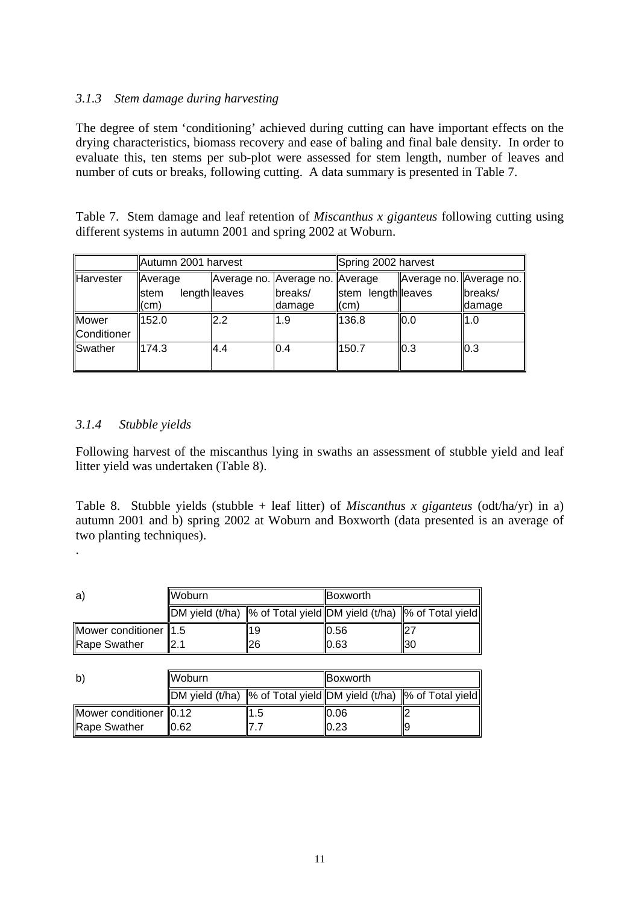## *3.1.3 Stem damage during harvesting*

The degree of stem 'conditioning' achieved during cutting can have important effects on the drying characteristics, biomass recovery and ease of baling and final bale density. In order to evaluate this, ten stems per sub-plot were assessed for stem length, number of leaves and number of cuts or breaks, following cutting. A data summary is presented in Table 7.

Table 7. Stem damage and leaf retention of *Miscanthus x giganteus* following cutting using different systems in autumn 2001 and spring 2002 at Woburn.

|                  | Autumn 2001 harvest |               |                                   | Spring 2002 harvest |     |                         |
|------------------|---------------------|---------------|-----------------------------------|---------------------|-----|-------------------------|
| <b>Harvester</b> | Average             |               | Average no. Average no.   Average |                     |     | Average no. Average no. |
|                  | <b>stem</b>         | length leaves | breaks/                           | stem length leaves  |     | breaks/                 |
|                  | (cm)                |               | damage                            | (cm)                |     | <b>Idamage</b>          |
| <b>Mower</b>     | 152.0               | 2.2           | 1.9                               | 136.8               | 0.0 | $\mathsf{I1.0}$         |
| Conditioner      |                     |               |                                   |                     |     |                         |
| Swather          | 174.3               | 4.4           | 0.4                               | 150.7               | 0.3 | 0.3                     |
|                  |                     |               |                                   |                     |     |                         |

#### *3.1.4 Stubble yields*

.

Following harvest of the miscanthus lying in swaths an assessment of stubble yield and leaf litter yield was undertaken (Table 8).

Table 8. Stubble yields (stubble + leaf litter) of *Miscanthus x giganteus* (odt/ha/yr) in a) autumn 2001 and b) spring 2002 at Woburn and Boxworth (data presented is an average of two planting techniques).

| a)                      | <b>I</b> Woburn                                                                                       |    | <b>IBoxworth</b> |      |
|-------------------------|-------------------------------------------------------------------------------------------------------|----|------------------|------|
|                         | $\parallel$ DM yield (t/ha) $\parallel$ % of Total yield DM yield (t/ha) $\parallel$ % of Total yield |    |                  |      |
| Mower conditioner   1.5 |                                                                                                       | 19 | 10.56            |      |
| <b>Rape Swather</b>     | II2.1                                                                                                 | 26 | $I$ 0.63         | ll30 |

| $\mathsf{b}$           | <b>IWoburn</b>                                                                            |    | <b>IBoxworth</b> |    |
|------------------------|-------------------------------------------------------------------------------------------|----|------------------|----|
|                        | $\Vert$ DM yield (t/ha) $\Vert\%$ of Total yield DM yield (t/ha) $\Vert\%$ of Total yield |    |                  |    |
| Mower conditioner 0.12 |                                                                                           | .5 | 10.06            |    |
| Rape Swather           | ).62                                                                                      |    | $I$ 0.23         | ΙĿ |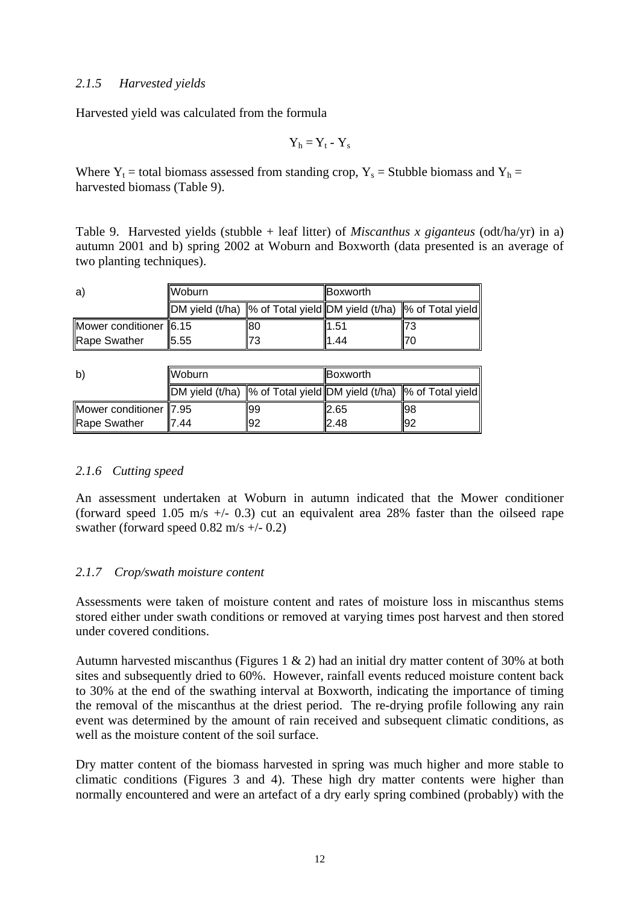### *2.1.5 Harvested yields*

Harvested yield was calculated from the formula

 $Y_h = Y_t - Y_s$ 

Where  $Y_t$  = total biomass assessed from standing crop,  $Y_s$  = Stubble biomass and  $Y_h$  = harvested biomass (Table 9).

Table 9. Harvested yields (stubble + leaf litter) of *Miscanthus x giganteus* (odt/ha/yr) in a) autumn 2001 and b) spring 2002 at Woburn and Boxworth (data presented is an average of two planting techniques).

| a)                     | llWoburn.                                                                                 |     |      |  | <b>Boxworth</b> |  |
|------------------------|-------------------------------------------------------------------------------------------|-----|------|--|-----------------|--|
|                        | $\Vert$ DM yield (t/ha) $\Vert\%$ of Total yield DM yield (t/ha) $\Vert\%$ of Total yield |     |      |  |                 |  |
| Mower conditioner 6.15 |                                                                                           | 180 | 1.51 |  |                 |  |
| Rape Swather           | 15.55                                                                                     | 73  | .44  |  |                 |  |

| b)                     | <b>IWoburn</b>                                                                                                                |     |       |     | <b>IBoxworth</b> |  |
|------------------------|-------------------------------------------------------------------------------------------------------------------------------|-----|-------|-----|------------------|--|
|                        | $\parallel$ DM yield (t/ha) $\parallel$ % of Total yield $\parallel$ DM yield (t/ha) $\parallel$ % of Total yield $\parallel$ |     |       |     |                  |  |
| Mower conditioner 7.95 |                                                                                                                               | 199 | 12.65 | 198 |                  |  |
| <b>Rape Swather</b>    | .44                                                                                                                           | -92 | 2.48  | 192 |                  |  |

## *2.1.6 Cutting speed*

An assessment undertaken at Woburn in autumn indicated that the Mower conditioner (forward speed 1.05 m/s  $+/-$  0.3) cut an equivalent area 28% faster than the oilseed rape swather (forward speed  $0.82$  m/s  $+/- 0.2$ )

## *2.1.7 Crop/swath moisture content*

Assessments were taken of moisture content and rates of moisture loss in miscanthus stems stored either under swath conditions or removed at varying times post harvest and then stored under covered conditions.

Autumn harvested miscanthus (Figures 1 & 2) had an initial dry matter content of 30% at both sites and subsequently dried to 60%. However, rainfall events reduced moisture content back to 30% at the end of the swathing interval at Boxworth, indicating the importance of timing the removal of the miscanthus at the driest period. The re-drying profile following any rain event was determined by the amount of rain received and subsequent climatic conditions, as well as the moisture content of the soil surface.

Dry matter content of the biomass harvested in spring was much higher and more stable to climatic conditions (Figures 3 and 4). These high dry matter contents were higher than normally encountered and were an artefact of a dry early spring combined (probably) with the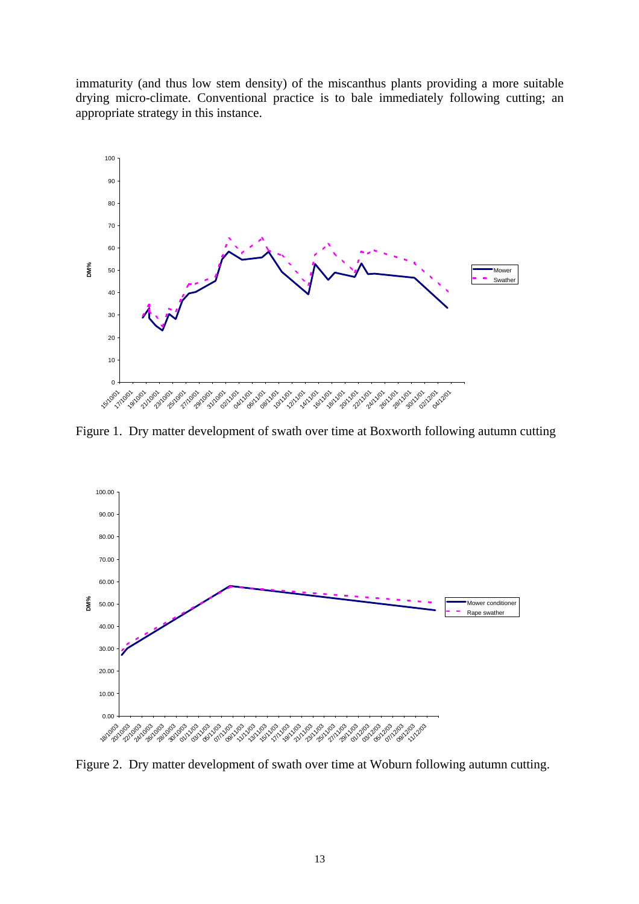immaturity (and thus low stem density) of the miscanthus plants providing a more suitable drying micro-climate. Conventional practice is to bale immediately following cutting; an appropriate strategy in this instance.



Figure 1. Dry matter development of swath over time at Boxworth following autumn cutting



Figure 2. Dry matter development of swath over time at Woburn following autumn cutting.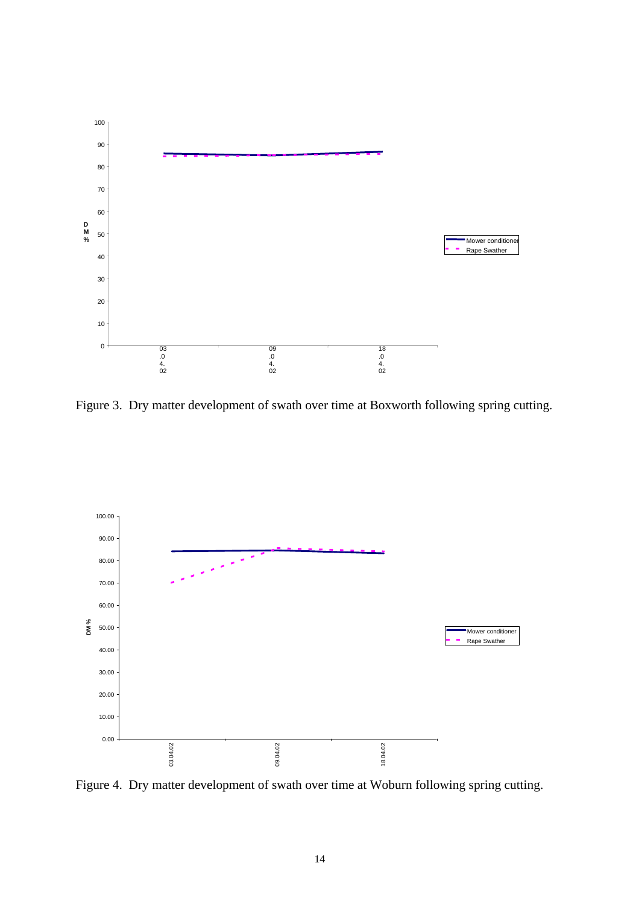

Figure 3. Dry matter development of swath over time at Boxworth following spring cutting.



Figure 4. Dry matter development of swath over time at Woburn following spring cutting.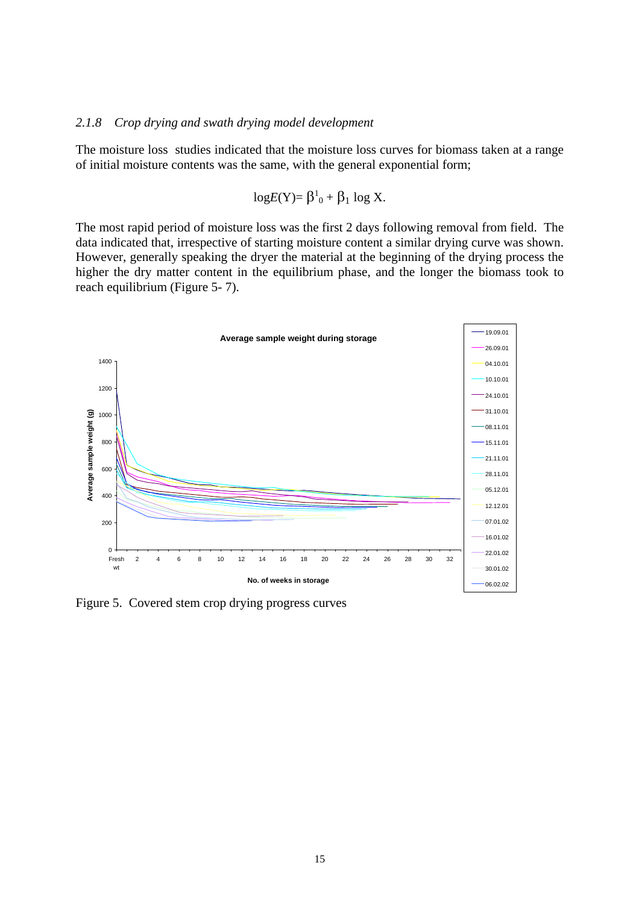#### *2.1.8 Crop drying and swath drying model development*

The moisture loss studies indicated that the moisture loss curves for biomass taken at a range of initial moisture contents was the same, with the general exponential form;

$$
logE(Y) = \beta^1_0 + \beta_1 log X.
$$

The most rapid period of moisture loss was the first 2 days following removal from field. The data indicated that, irrespective of starting moisture content a similar drying curve was shown. However, generally speaking the dryer the material at the beginning of the drying process the higher the dry matter content in the equilibrium phase, and the longer the biomass took to reach equilibrium (Figure 5- 7).



Figure 5. Covered stem crop drying progress curves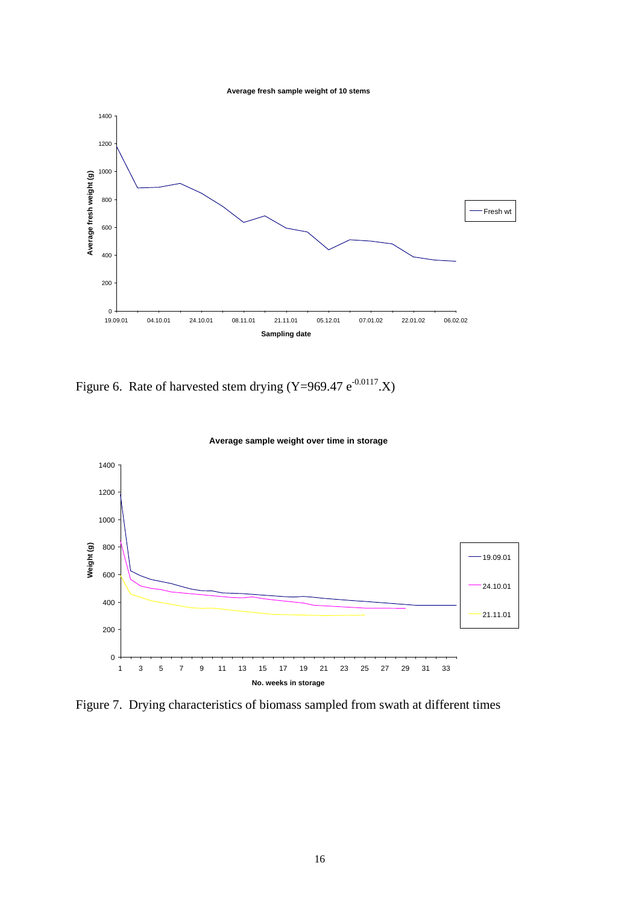**Average fresh sample weight of 10 stems**



Figure 6. Rate of harvested stem drying (Y=969.47  $e^{-0.0117}$ .X)



**Average sample weight over time in storage**

Figure 7. Drying characteristics of biomass sampled from swath at different times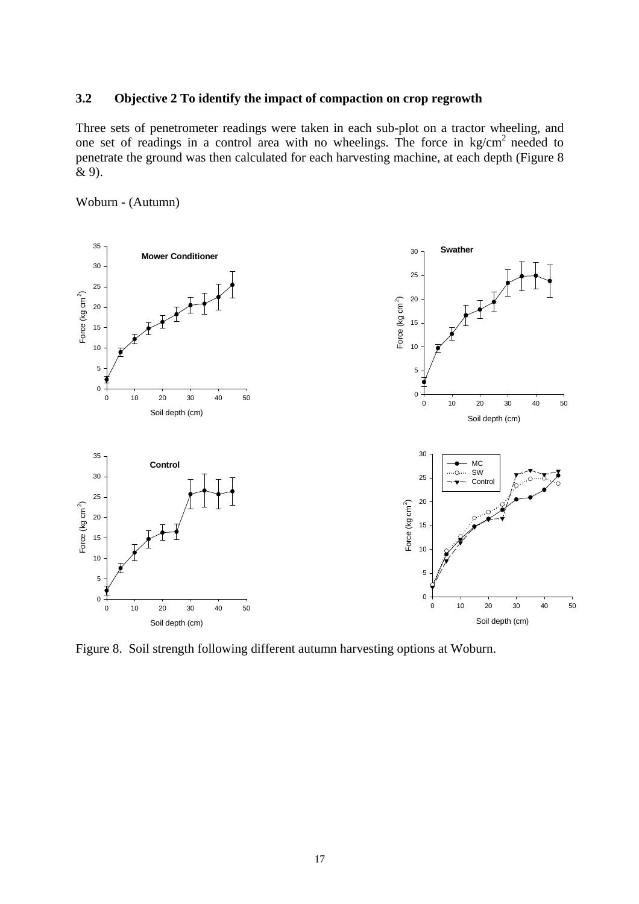#### **3.2 Objective 2 To identify the impact of compaction on crop regrowth**

Three sets of penetrometer readings were taken in each sub-plot on a tractor wheeling, and one set of readings in a control area with no wheelings. The force in kg/cm2 needed to penetrate the ground was then calculated for each harvesting machine, at each depth (Figure 8 & 9).





Figure 8. Soil strength following different autumn harvesting options at Woburn.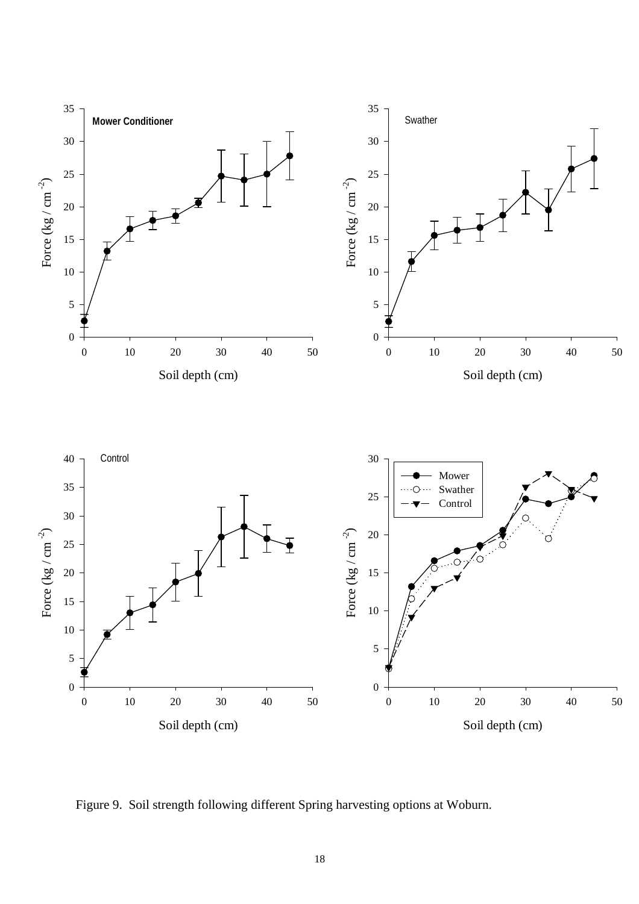

Figure 9. Soil strength following different Spring harvesting options at Woburn.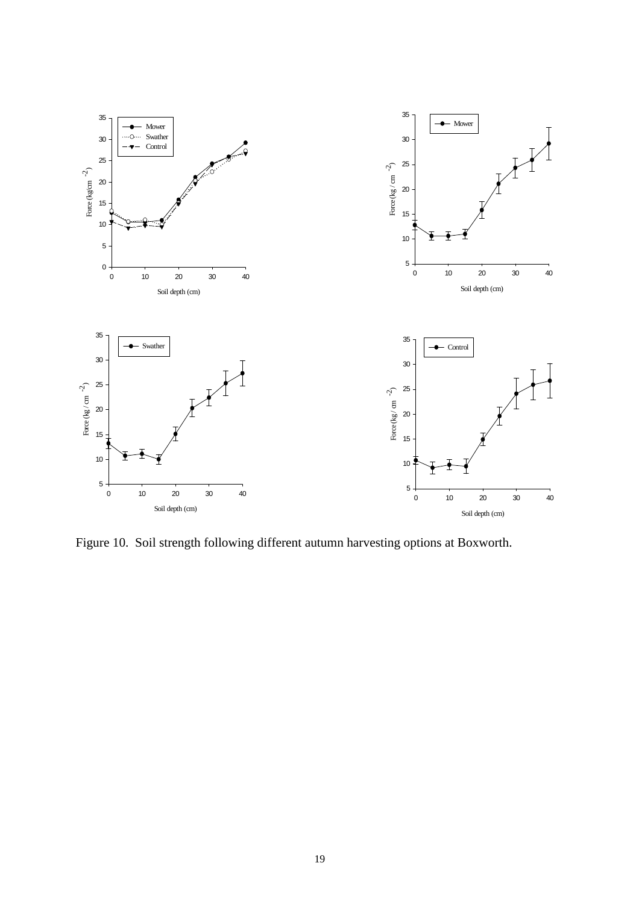

Figure 10. Soil strength following different autumn harvesting options at Boxworth.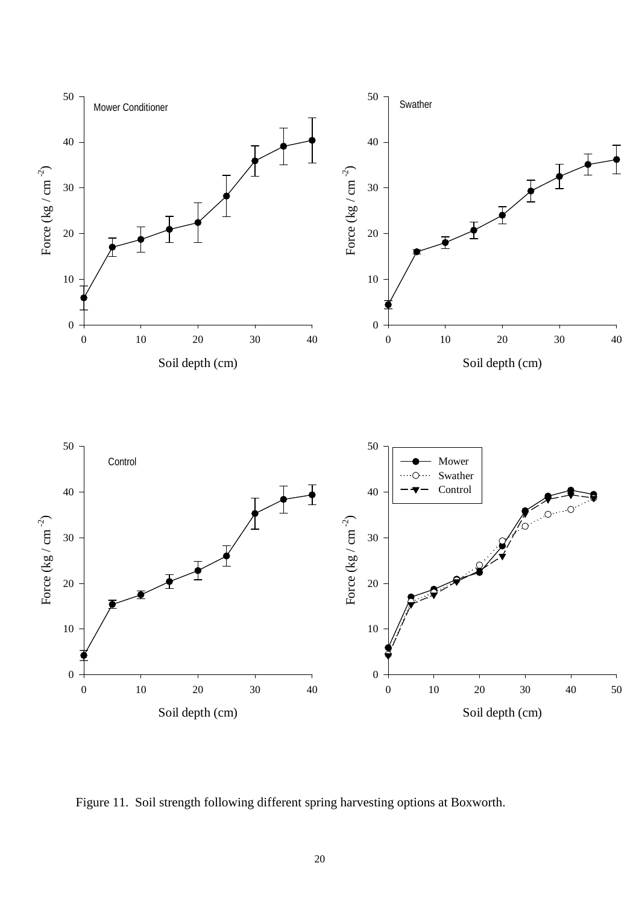

Figure 11. Soil strength following different spring harvesting options at Boxworth.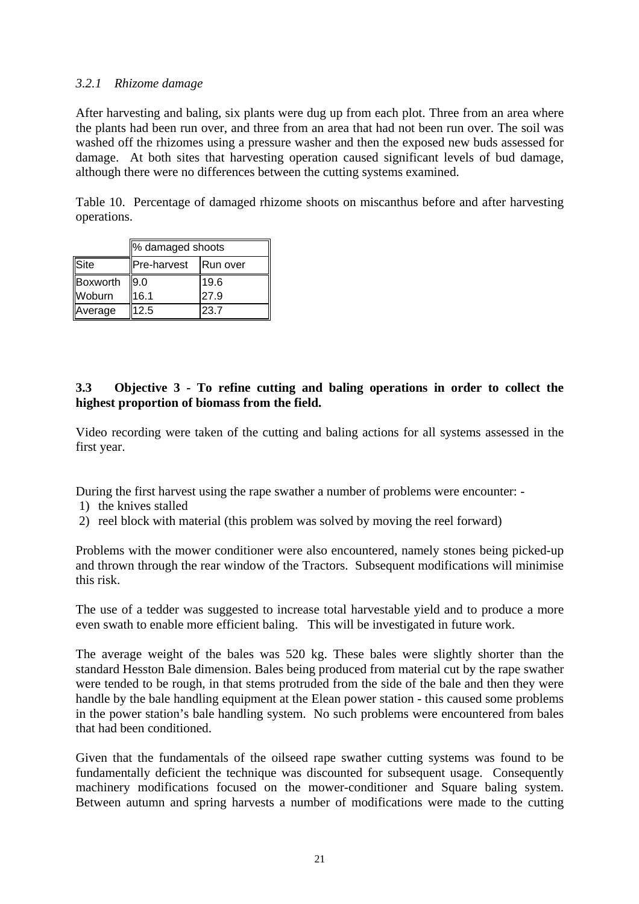#### *3.2.1 Rhizome damage*

After harvesting and baling, six plants were dug up from each plot. Three from an area where the plants had been run over, and three from an area that had not been run over. The soil was washed off the rhizomes using a pressure washer and then the exposed new buds assessed for damage. At both sites that harvesting operation caused significant levels of bud damage, although there were no differences between the cutting systems examined.

Table 10. Percentage of damaged rhizome shoots on miscanthus before and after harvesting operations.

|          | % damaged shoots |          |  |  |  |  |  |  |  |  |
|----------|------------------|----------|--|--|--|--|--|--|--|--|
| Site     | Pre-harvest      | Run over |  |  |  |  |  |  |  |  |
| Boxworth | 9.0              | 19.6     |  |  |  |  |  |  |  |  |
| Woburn   | 16.1             | 27.9     |  |  |  |  |  |  |  |  |
| Average  | 12.5             | 23.7     |  |  |  |  |  |  |  |  |

## **3.3 Objective 3 - To refine cutting and baling operations in order to collect the highest proportion of biomass from the field.**

Video recording were taken of the cutting and baling actions for all systems assessed in the first year.

During the first harvest using the rape swather a number of problems were encounter: -

- 1) the knives stalled
- 2) reel block with material (this problem was solved by moving the reel forward)

Problems with the mower conditioner were also encountered, namely stones being picked-up and thrown through the rear window of the Tractors. Subsequent modifications will minimise this risk.

The use of a tedder was suggested to increase total harvestable yield and to produce a more even swath to enable more efficient baling. This will be investigated in future work.

The average weight of the bales was 520 kg. These bales were slightly shorter than the standard Hesston Bale dimension. Bales being produced from material cut by the rape swather were tended to be rough, in that stems protruded from the side of the bale and then they were handle by the bale handling equipment at the Elean power station - this caused some problems in the power station's bale handling system. No such problems were encountered from bales that had been conditioned.

Given that the fundamentals of the oilseed rape swather cutting systems was found to be fundamentally deficient the technique was discounted for subsequent usage. Consequently machinery modifications focused on the mower-conditioner and Square baling system. Between autumn and spring harvests a number of modifications were made to the cutting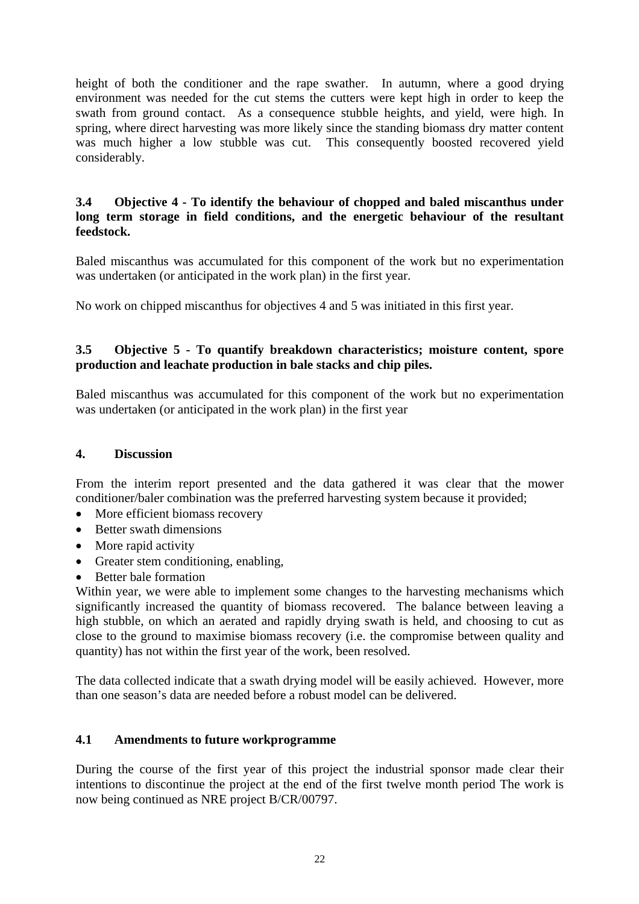height of both the conditioner and the rape swather. In autumn, where a good drying environment was needed for the cut stems the cutters were kept high in order to keep the swath from ground contact. As a consequence stubble heights, and yield, were high. In spring, where direct harvesting was more likely since the standing biomass dry matter content was much higher a low stubble was cut. This consequently boosted recovered yield considerably.

#### **3.4 Objective 4 - To identify the behaviour of chopped and baled miscanthus under long term storage in field conditions, and the energetic behaviour of the resultant feedstock.**

Baled miscanthus was accumulated for this component of the work but no experimentation was undertaken (or anticipated in the work plan) in the first year.

No work on chipped miscanthus for objectives 4 and 5 was initiated in this first year.

## **3.5 Objective 5 - To quantify breakdown characteristics; moisture content, spore production and leachate production in bale stacks and chip piles.**

Baled miscanthus was accumulated for this component of the work but no experimentation was undertaken (or anticipated in the work plan) in the first year

### **4. Discussion**

From the interim report presented and the data gathered it was clear that the mower conditioner/baler combination was the preferred harvesting system because it provided;

- More efficient biomass recovery
- Better swath dimensions
- More rapid activity
- Greater stem conditioning, enabling,
- Better bale formation

Within year, we were able to implement some changes to the harvesting mechanisms which significantly increased the quantity of biomass recovered. The balance between leaving a high stubble, on which an aerated and rapidly drying swath is held, and choosing to cut as close to the ground to maximise biomass recovery (i.e. the compromise between quality and quantity) has not within the first year of the work, been resolved.

The data collected indicate that a swath drying model will be easily achieved. However, more than one season's data are needed before a robust model can be delivered.

## **4.1 Amendments to future workprogramme**

During the course of the first year of this project the industrial sponsor made clear their intentions to discontinue the project at the end of the first twelve month period The work is now being continued as NRE project B/CR/00797.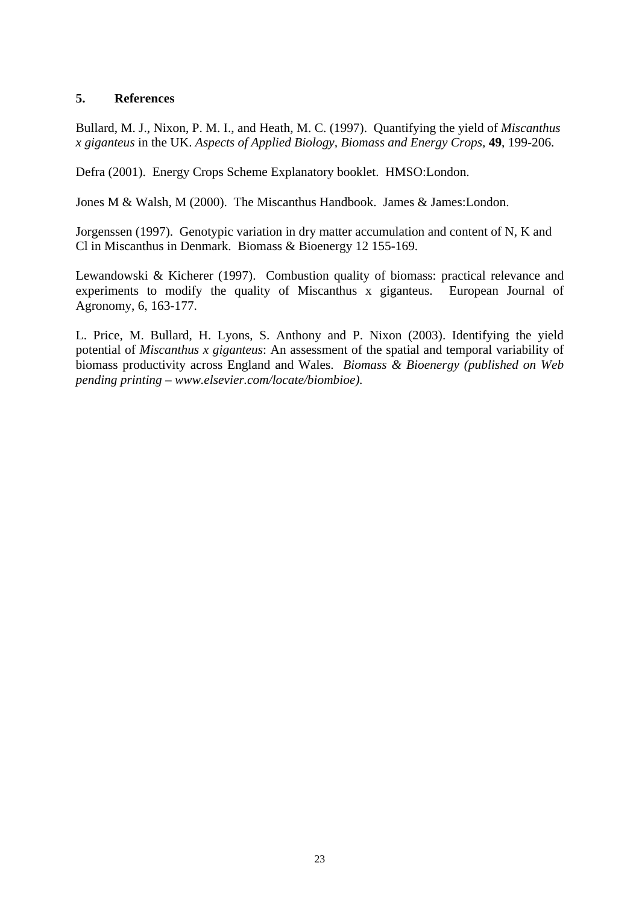### **5. References**

Bullard, M. J., Nixon, P. M. I., and Heath, M. C. (1997). Quantifying the yield of *Miscanthus x giganteus* in the UK. *Aspects of Applied Biology, Biomass and Energy Crops,* **49**, 199-206.

Defra (2001). Energy Crops Scheme Explanatory booklet. HMSO:London.

Jones M & Walsh, M (2000). The Miscanthus Handbook. James & James:London.

Jorgenssen (1997). Genotypic variation in dry matter accumulation and content of N, K and Cl in Miscanthus in Denmark. Biomass & Bioenergy 12 155-169.

Lewandowski & Kicherer (1997). Combustion quality of biomass: practical relevance and experiments to modify the quality of Miscanthus x giganteus. European Journal of Agronomy, 6, 163-177.

L. Price, M. Bullard, H. Lyons, S. Anthony and P. Nixon (2003). Identifying the yield potential of *Miscanthus x giganteus*: An assessment of the spatial and temporal variability of biomass productivity across England and Wales. *Biomass & Bioenergy (published on Web pending printing – www.elsevier.com/locate/biombioe).*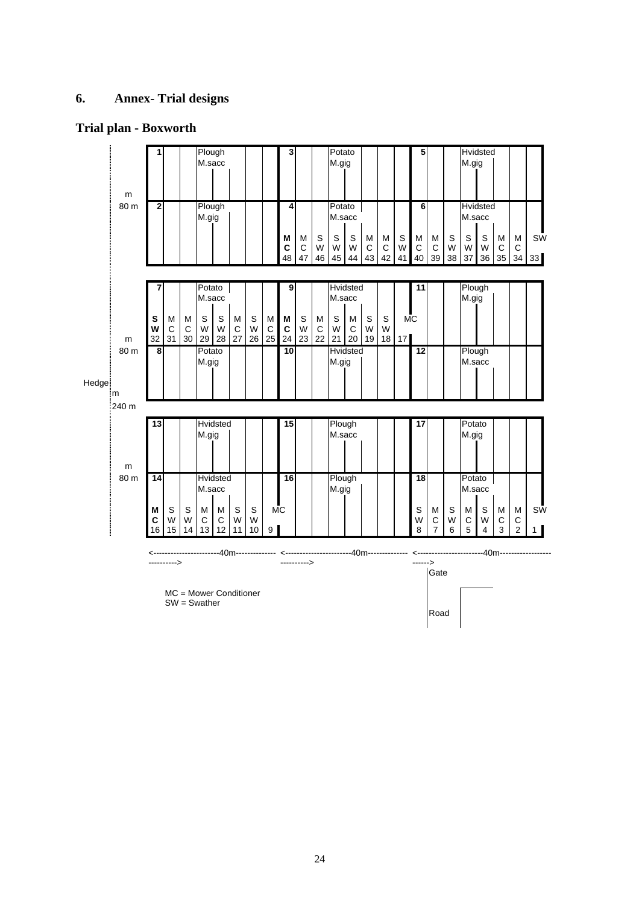## **6. Annex- Trial designs**

## **Trial plan - Boxworth**

|              |              | Plough<br>1<br>M.sacc |              |              |                       | 3                         |                  |              | Potato<br>M.gig             |              |                        |              |                  | 5                     |                         |              | M.gig        | Hvidsted                |                          |              |                  |                        |                         |              |                      |
|--------------|--------------|-----------------------|--------------|--------------|-----------------------|---------------------------|------------------|--------------|-----------------------------|--------------|------------------------|--------------|------------------|-----------------------|-------------------------|--------------|--------------|-------------------------|--------------------------|--------------|------------------|------------------------|-------------------------|--------------|----------------------|
|              | m<br>80 m    | 2                     |              |              | Plough<br>M.gig       |                           |                  |              |                             | 4            |                        |              | Potato<br>M.sacc |                       |                         |              |              | 6                       |                          |              | M.sacc           | <b>Hvidsted</b>        |                         |              |                      |
|              |              |                       |              |              |                       |                           |                  |              |                             | M<br>C<br>48 | M<br>$\mathsf C$<br>47 | S<br>W<br>46 | S<br>W<br>45     | S<br>W<br>44          | M<br>$\mathsf{C}$<br>43 | M<br>C<br>42 | S<br>W<br>41 | M<br>$\mathsf{C}$<br>40 | M<br>C<br>39             | S<br>W<br>38 | S<br>W<br>37     | $\mathbb S$<br>W<br>36 | M<br>$\mathsf{C}$<br>35 | M<br>C<br>34 | <b>SW</b><br>33      |
|              |              | 7                     |              |              | Potato<br>M.sacc      |                           |                  |              |                             | 9            |                        |              | M.sacc           | <b>Hvidsted</b>       |                         |              |              | 11                      |                          |              | Plough<br>M.gig  |                        |                         |              |                      |
|              |              | S<br>W                | M<br>C       | M<br>C       | $\mathsf S$<br>W      | S<br>W                    | M<br>$\mathsf C$ | S<br>W       | M<br>C                      | M<br>C       | S<br>W                 | M<br>C       | S<br>W           | M<br>$\mathbf C$      | S<br>W                  | S<br>W       | <b>MC</b>    |                         |                          |              |                  |                        |                         |              |                      |
|              | m<br>80 m    | 32<br>8               | 31           | 30           | 29<br>Potato<br>M.gig | 28                        | 27               | 26           | 25                          | 24<br>10     | 23                     | 22           | 21<br>M.gig      | 20<br><b>Hvidsted</b> | 19                      | 18           | 17           | 12                      |                          |              | Plough<br>M.sacc |                        |                         |              |                      |
| <b>Hedge</b> | m.<br>:240 m |                       |              |              |                       |                           |                  |              |                             |              |                        |              |                  |                       |                         |              |              |                         |                          |              |                  |                        |                         |              |                      |
|              |              | 13                    |              |              | M.gig                 | Hvidsted                  |                  |              |                             | 15           |                        |              | Plough<br>M.sacc |                       |                         |              |              | 17                      |                          |              | Potato<br>M.gig  |                        |                         |              |                      |
|              | m<br>80 m    | $\overline{14}$       |              |              | M.sacc                | <b>Hvidsted</b>           |                  |              |                             | 16           |                        |              | Plough<br>M.gig  |                       |                         |              |              | 18                      |                          |              | Potato<br>M.sacc |                        |                         |              |                      |
|              |              | M<br>c<br>16          | S<br>W<br>15 | S<br>W<br>14 | M<br>C<br>13          | M<br>C<br>12 <sup>2</sup> | S<br>W<br>11     | S<br>W<br>10 | <b>MC</b><br>9 <sup>1</sup> |              |                        |              |                  |                       |                         |              |              | S<br>W<br>8             | M<br>C<br>$\overline{7}$ | S<br>W<br>6  | M<br>C<br>5      | S<br>W<br>4            | M<br>C<br>3             | M<br>C<br>2  | SW<br>1 <sup>1</sup> |

 <-----------------------40m-------------- <-----------------------40m-------------- <-----------------------40m------------------ ----------> ---------->

MC = Mower Conditioner

Gate the contract of the contract of the contract of the contract of the contract of the contract of the contract of the contract of the contract of the contract of the contract of the contract of the contract of the contr

SW = Swather

------>

results and the contract of the contract of the contract of the contract of the contract of the contract of the